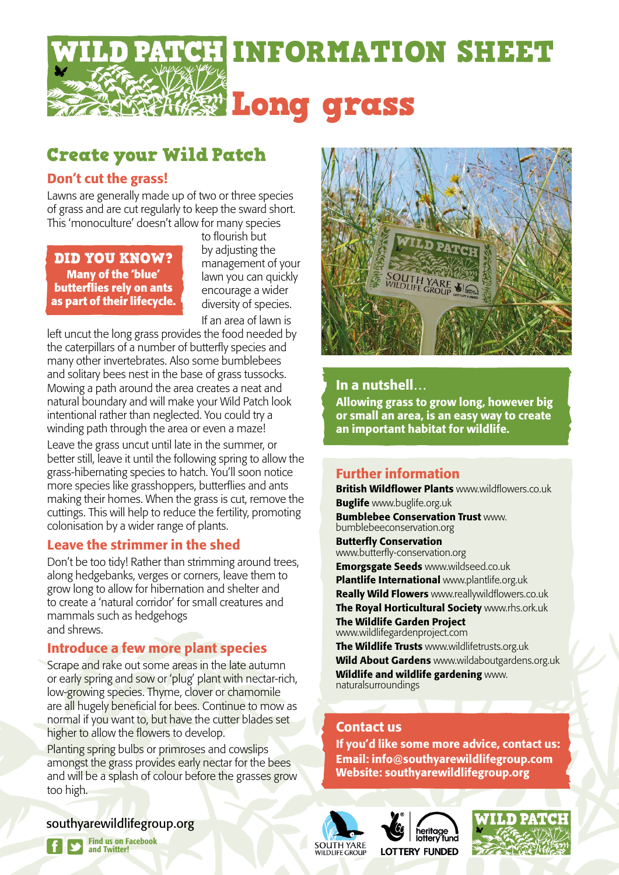

# Create your Wild Patch

### Don't cut the grass!

Lawns are generally made up of two or three species of grass and are cut regularly to keep the sward short. This 'monoculture' doesn't allow for many species

DID YOU KNOW? **Many of the 'blue' butterflies rely on ants as part of their lifecycle.**  to flourish but by adjusting the management of your lawn you can quickly encourage a wider diversity of species. If an area of lawn is

left uncut the long grass provides the food needed by the caterpillars of a number of butterfly species and many other invertebrates. Also some bumblebees and solitary bees nest in the base of grass tussocks. Mowing a path around the area creates a neat and natural boundary and will make your Wild Patch look intentional rather than neglected. You could try a winding path through the area or even a maze!

Leave the grass uncut until late in the summer, or better still, leave it until the following spring to allow the grass-hibernating species to hatch. You'll soon notice more species like grasshoppers, butterflies and ants making their homes. When the grass is cut, remove the cuttings. This will help to reduce the fertility, promoting colonisation by a wider range of plants.

### Leave the strimmer in the shed

Don't be too tidy! Rather than strimming around trees, along hedgebanks, verges or corners, leave them to grow long to allow for hibernation and shelter and to create a 'natural corridor' for small creatures and mammals such as hedgehogs and shrews.

### Introduce a few more plant species

Scrape and rake out some areas in the late autumn or early spring and sow or 'plug' plant with nectar-rich, low-growing species. Thyme, clover or chamomile are all hugely beneficial for bees. Continue to mow as normal if you want to, but have the cutter blades set higher to allow the flowers to develop.

Planting spring bulbs or primroses and cowslips amongst the grass provides early nectar for the bees and will be a splash of colour before the grasses grow too high.



## In a nutshell…

Allowing grass to grow long, however big or small an area, is an easy way to create an important habitat for wildlife.

# Further information

British Wildflower Plants www.wildflowers.co.uk **Buglife** www.buglife.org.uk **Bumblebee Conservation Trust www.** bumblebeeconservation.org Butterfly Conservation

www.butterfly-conservation.org Emorgsgate Seeds www.wildseed.co.uk Plantlife International www.plantlife.org.uk Really Wild Flowers www.reallywildflowers.co.uk The Royal Horticultural Society www.rhs.ork.uk The Wildlife Garden Project www.wildlifegardenproject.com The Wildlife Trusts www.wildlifetrusts.org.uk Wild About Gardens www.wildaboutgardens.org.uk Wildlife and wildlife gardening www. naturalsurroundings

### Contact us

If you'd like some more advice, contact us: Email: info@southyarewildlifegroup.com Website: southyarewildlifegroup.org







southyarewildlifegroup.org

Find us on Facebook and Twitter!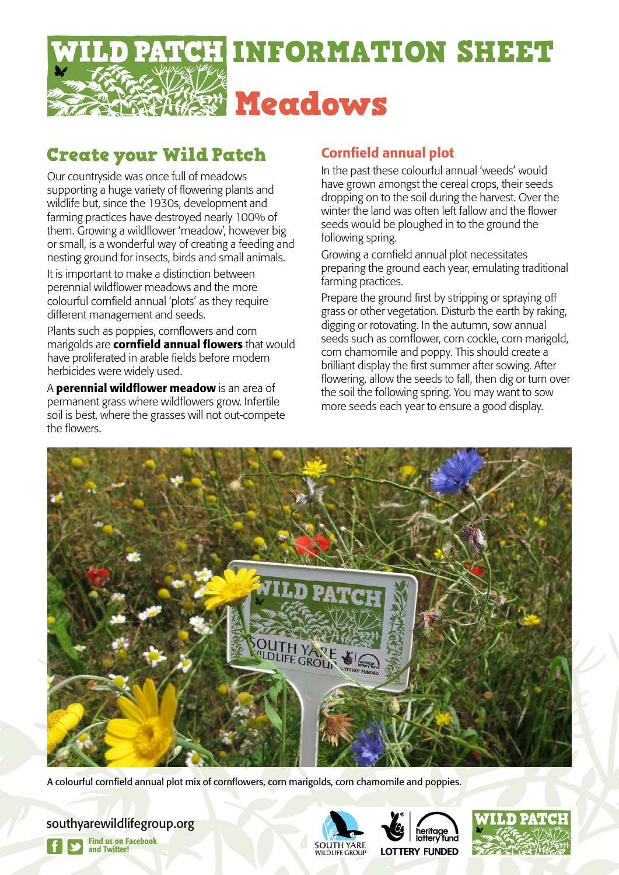

# Create your Wild Patch

Our countryside was once full of meadows supporting a huge variety of flowering plants and wildlife but, since the 1930s, development and farming practices have destroyed nearly 100% of them. Growing a wildflower 'meadow', however big or small, is a wonderful way of creating a feeding and nesting ground for insects, birds and small animals.

It is important to make a distinction between perennial wildflower meadows and the more colourful cornfield annual 'plots' as they require different management and seeds.

Plants such as poppies, cornflowers and corn marigolds are **cornfield annual flowers** that would have proliferated in arable fields before modern herbicides were widely used.

A **perennial wildflower meadow** is an area of permanent grass where wildflowers grow. Infertile soil is best, where the grasses will not out-compete the flowers.

## Cornfield annual plot

In the past these colourful annual 'weeds' would have grown amongst the cereal crops, their seeds dropping on to the soil during the harvest. Over the winter the land was often left fallow and the flower seeds would be ploughed in to the ground the following spring.

Growing a cornfield annual plot necessitates preparing the ground each year, emulating traditional farming practices.

Prepare the ground first by stripping or spraying off grass or other vegetation. Disturb the earth by raking, digging or rotovating. In the autumn, sow annual seeds such as cornflower, corn cockle, corn marigold, corn chamomile and poppy. This should create a brilliant display the first summer after sowing. After flowering, allow the seeds to fall, then dig or turn over the soil the following spring. You may want to sow more seeds each year to ensure a good display.



A colourful cornfield annual plot mix of cornflowers, corn marigolds, corn chamomile and poppies.

southyarewildlifegroup.org